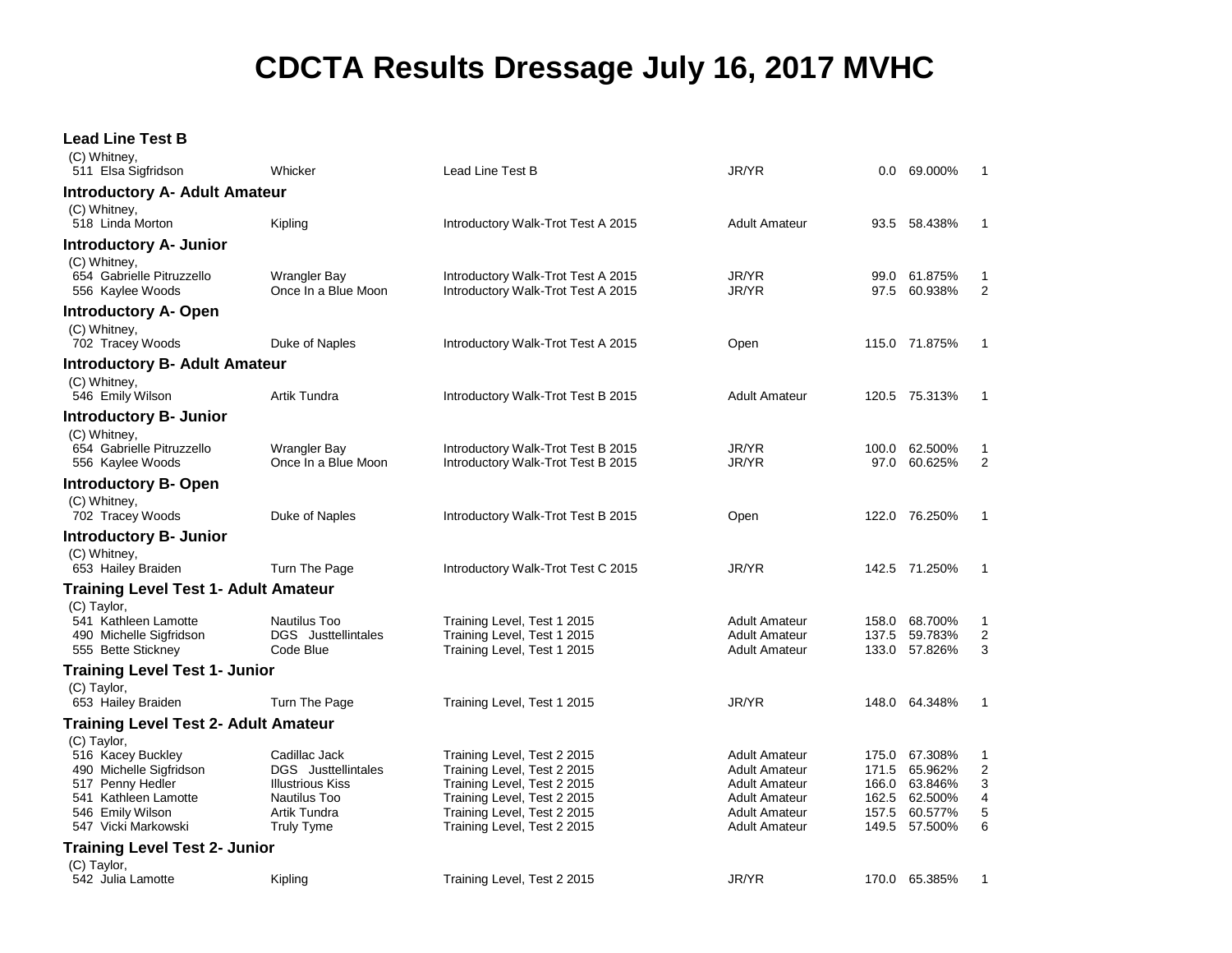## **CDCTA Results Dressage July 16, 2017 MVHC**

## **Lead Line Test B**

| (C) Whitney,<br>511 Elsa Sigfridson                                                                                                                | Whicker                                                                                                              | Lead Line Test B                                                                                                                                                                       | JR/YR                                                                                                                                 |                         | $0.0\quad 69.000\%$                                                              | $\mathbf 1$                                      |
|----------------------------------------------------------------------------------------------------------------------------------------------------|----------------------------------------------------------------------------------------------------------------------|----------------------------------------------------------------------------------------------------------------------------------------------------------------------------------------|---------------------------------------------------------------------------------------------------------------------------------------|-------------------------|----------------------------------------------------------------------------------|--------------------------------------------------|
| <b>Introductory A- Adult Amateur</b>                                                                                                               |                                                                                                                      |                                                                                                                                                                                        |                                                                                                                                       |                         |                                                                                  |                                                  |
| (C) Whitney,<br>518 Linda Morton                                                                                                                   | Kipling                                                                                                              | Introductory Walk-Trot Test A 2015                                                                                                                                                     | <b>Adult Amateur</b>                                                                                                                  |                         | 93.5 58.438%                                                                     | $\mathbf{1}$                                     |
| <b>Introductory A- Junior</b>                                                                                                                      |                                                                                                                      |                                                                                                                                                                                        |                                                                                                                                       |                         |                                                                                  |                                                  |
| (C) Whitney,<br>654 Gabrielle Pitruzzello<br>556 Kaylee Woods                                                                                      | Wrangler Bay<br>Once In a Blue Moon                                                                                  | Introductory Walk-Trot Test A 2015<br>Introductory Walk-Trot Test A 2015                                                                                                               | JR/YR<br>JR/YR                                                                                                                        | 99.0<br>97.5            | 61.875%<br>60.938%                                                               | 1<br>2                                           |
| <b>Introductory A- Open</b>                                                                                                                        |                                                                                                                      |                                                                                                                                                                                        |                                                                                                                                       |                         |                                                                                  |                                                  |
| (C) Whitney,<br>702 Tracey Woods                                                                                                                   | Duke of Naples                                                                                                       | Introductory Walk-Trot Test A 2015                                                                                                                                                     | Open                                                                                                                                  |                         | 115.0 71.875%                                                                    | $\mathbf{1}$                                     |
| <b>Introductory B- Adult Amateur</b>                                                                                                               |                                                                                                                      |                                                                                                                                                                                        |                                                                                                                                       |                         |                                                                                  |                                                  |
| (C) Whitney,<br>546 Emily Wilson                                                                                                                   | Artik Tundra                                                                                                         | Introductory Walk-Trot Test B 2015                                                                                                                                                     | <b>Adult Amateur</b>                                                                                                                  |                         | 120.5 75.313%                                                                    | $\mathbf{1}$                                     |
| <b>Introductory B- Junior</b>                                                                                                                      |                                                                                                                      |                                                                                                                                                                                        |                                                                                                                                       |                         |                                                                                  |                                                  |
| (C) Whitney,<br>654 Gabrielle Pitruzzello<br>556 Kaylee Woods                                                                                      | Wrangler Bay<br>Once In a Blue Moon                                                                                  | Introductory Walk-Trot Test B 2015<br>Introductory Walk-Trot Test B 2015                                                                                                               | JR/YR<br>JR/YR                                                                                                                        | 100.0<br>97.0           | 62.500%<br>60.625%                                                               | 1<br>2                                           |
| <b>Introductory B- Open</b>                                                                                                                        |                                                                                                                      |                                                                                                                                                                                        |                                                                                                                                       |                         |                                                                                  |                                                  |
| (C) Whitney,<br>702 Tracey Woods                                                                                                                   | Duke of Naples                                                                                                       | Introductory Walk-Trot Test B 2015                                                                                                                                                     | Open                                                                                                                                  |                         | 122.0 76.250%                                                                    | 1                                                |
| <b>Introductory B- Junior</b>                                                                                                                      |                                                                                                                      |                                                                                                                                                                                        |                                                                                                                                       |                         |                                                                                  |                                                  |
| (C) Whitney,<br>653 Hailey Braiden                                                                                                                 | Turn The Page                                                                                                        | Introductory Walk-Trot Test C 2015                                                                                                                                                     | JR/YR                                                                                                                                 |                         | 142.5 71.250%                                                                    | 1                                                |
| Training Level Test 1- Adult Amateur                                                                                                               |                                                                                                                      |                                                                                                                                                                                        |                                                                                                                                       |                         |                                                                                  |                                                  |
| (C) Taylor,<br>541 Kathleen Lamotte<br>490 Michelle Sigfridson<br>555 Bette Stickney                                                               | Nautilus Too<br>DGS Justtellintales<br>Code Blue                                                                     | Training Level, Test 1 2015<br>Training Level, Test 1 2015<br>Training Level, Test 1 2015                                                                                              | <b>Adult Amateur</b><br><b>Adult Amateur</b><br><b>Adult Amateur</b>                                                                  | 158.0<br>137.5          | 68.700%<br>59.783%<br>133.0 57.826%                                              | 1<br>$\boldsymbol{2}$<br>3                       |
| <b>Training Level Test 1- Junior</b>                                                                                                               |                                                                                                                      |                                                                                                                                                                                        |                                                                                                                                       |                         |                                                                                  |                                                  |
| (C) Taylor,<br>653 Hailey Braiden                                                                                                                  | Turn The Page                                                                                                        | Training Level, Test 1 2015                                                                                                                                                            | JR/YR                                                                                                                                 |                         | 148.0 64.348%                                                                    | $\mathbf{1}$                                     |
| <b>Training Level Test 2- Adult Amateur</b>                                                                                                        |                                                                                                                      |                                                                                                                                                                                        |                                                                                                                                       |                         |                                                                                  |                                                  |
| (C) Taylor,<br>516 Kacey Buckley<br>490 Michelle Sigfridson<br>517 Penny Hedler<br>541 Kathleen Lamotte<br>546 Emily Wilson<br>547 Vicki Markowski | Cadillac Jack<br><b>DGS</b> Justtellintales<br>Illustrious Kiss<br>Nautilus Too<br>Artik Tundra<br><b>Truly Tyme</b> | Training Level, Test 2 2015<br>Training Level, Test 2 2015<br>Training Level, Test 2 2015<br>Training Level, Test 2 2015<br>Training Level, Test 2 2015<br>Training Level, Test 2 2015 | <b>Adult Amateur</b><br><b>Adult Amateur</b><br>Adult Amateur<br><b>Adult Amateur</b><br><b>Adult Amateur</b><br><b>Adult Amateur</b> | 166.0<br>162.5<br>157.5 | 175.0 67.308%<br>171.5 65.962%<br>63.846%<br>62.500%<br>60.577%<br>149.5 57.500% | 1<br>$\overline{\mathbf{c}}$<br>3<br>4<br>5<br>6 |
| <b>Training Level Test 2- Junior</b>                                                                                                               |                                                                                                                      |                                                                                                                                                                                        |                                                                                                                                       |                         |                                                                                  |                                                  |
| (C) Taylor,<br>542 Julia Lamotte                                                                                                                   | Kipling                                                                                                              | Training Level, Test 2 2015                                                                                                                                                            | JR/YR                                                                                                                                 |                         | 170.0 65.385%                                                                    | $\mathbf{1}$                                     |